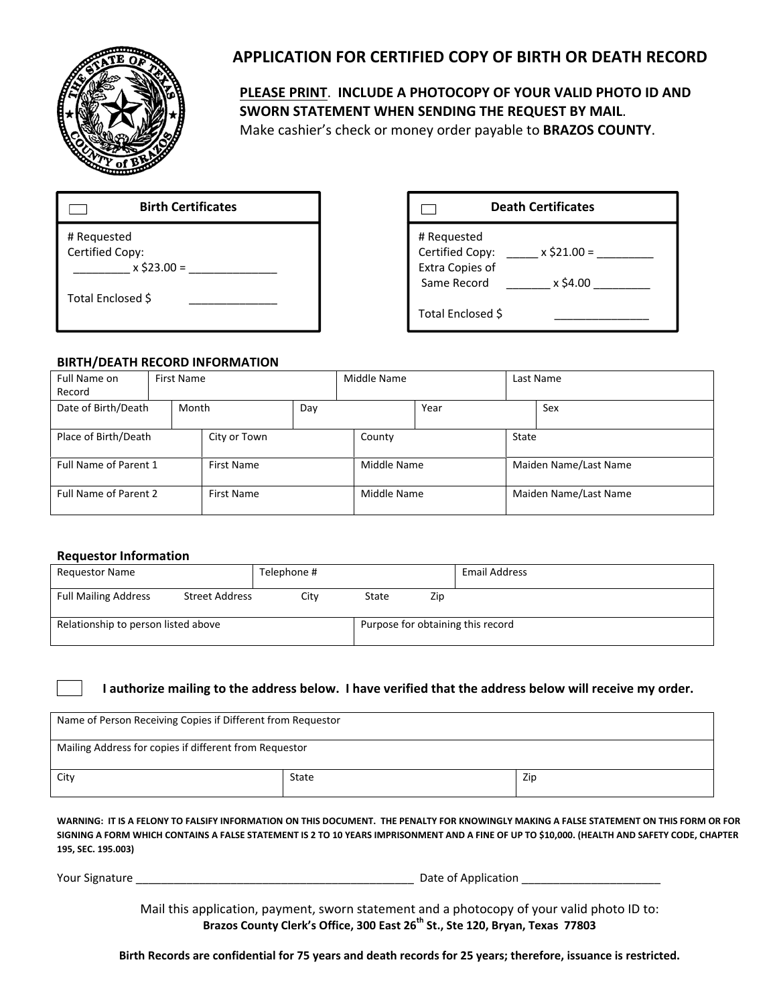

# **APPLICATION FOR CERTIFIED COPY OF BIRTH OR DEATH RECORD**

### **PLEASE PRINT**. **INCLUDE A PHOTOCOPY OF YOUR VALID PHOTO ID AND SWORN STATEMENT WHEN SENDING THE REQUEST BY MAIL**. Make cashier's check or money order payable to **BRAZOS COUNTY**.

| <b>Birth Certificates</b>                       |
|-------------------------------------------------|
| # Requested<br>Certified Copy:<br>$x$ \$23.00 = |
| Total Enclosed \$                               |

## **Birth Certificates Death Certificates**



#### **BIRTH/DEATH RECORD INFORMATION**

| Full Name on          | First Name |                   |     | Middle Name |             | Last Name |                       |     |  |  |
|-----------------------|------------|-------------------|-----|-------------|-------------|-----------|-----------------------|-----|--|--|
| Record                |            |                   |     |             |             |           |                       |     |  |  |
| Date of Birth/Death   | Month      |                   | Day |             | Year        |           |                       | Sex |  |  |
|                       |            |                   |     |             |             |           |                       |     |  |  |
| Place of Birth/Death  |            | City or Town      |     |             | County      |           | State                 |     |  |  |
|                       |            |                   |     |             |             |           |                       |     |  |  |
| Full Name of Parent 1 |            | <b>First Name</b> |     |             | Middle Name |           | Maiden Name/Last Name |     |  |  |
|                       |            |                   |     |             |             |           |                       |     |  |  |
| Full Name of Parent 2 |            | <b>First Name</b> |     |             | Middle Name |           | Maiden Name/Last Name |     |  |  |
|                       |            |                   |     |             |             |           |                       |     |  |  |

#### **Requestor Information**

| <b>Requestor Name</b>               |                       | Telephone # |       |                                   | <b>Email Address</b> |  |  |
|-------------------------------------|-----------------------|-------------|-------|-----------------------------------|----------------------|--|--|
| <b>Full Mailing Address</b>         | <b>Street Address</b> | City        | State | Zip                               |                      |  |  |
| Relationship to person listed above |                       |             |       | Purpose for obtaining this record |                      |  |  |

#### I authorize mailing to the address below. I have verified that the address below will receive my order.

| Name of Person Receiving Copies if Different from Requestor |       |     |  |  |  |
|-------------------------------------------------------------|-------|-----|--|--|--|
| Mailing Address for copies if different from Requestor      |       |     |  |  |  |
| City                                                        | State | Zip |  |  |  |

WARNING: IT IS A FELONY TO FALSIFY INFORMATION ON THIS DOCUMENT. THE PENALTY FOR KNOWINGLY MAKING A FALSE STATEMENT ON THIS FORM OR FOR SIGNING A FORM WHICH CONTAINS A FALSE STATEMENT IS 2 TO 10 YEARS IMPRISONMENT AND A FINE OF UP TO \$10,000. (HEALTH AND SAFETY CODE, CHAPTER **195, SEC. 195.003)**

Your Signature \_\_\_\_\_\_\_\_\_\_\_\_\_\_\_\_\_\_\_\_\_\_\_\_\_\_\_\_\_\_\_\_\_\_\_\_\_\_\_\_\_\_\_\_ Date of Application \_\_\_\_\_\_\_\_\_\_\_\_\_\_\_\_\_\_\_\_\_\_

Mail this application, payment, sworn statement and a photocopy of your valid photo ID to: **Brazos County Clerk's Office, 300 East 26th St., Ste 120, Bryan, Texas 77803**

Birth Records are confidential for 75 years and death records for 25 years; therefore, issuance is restricted.